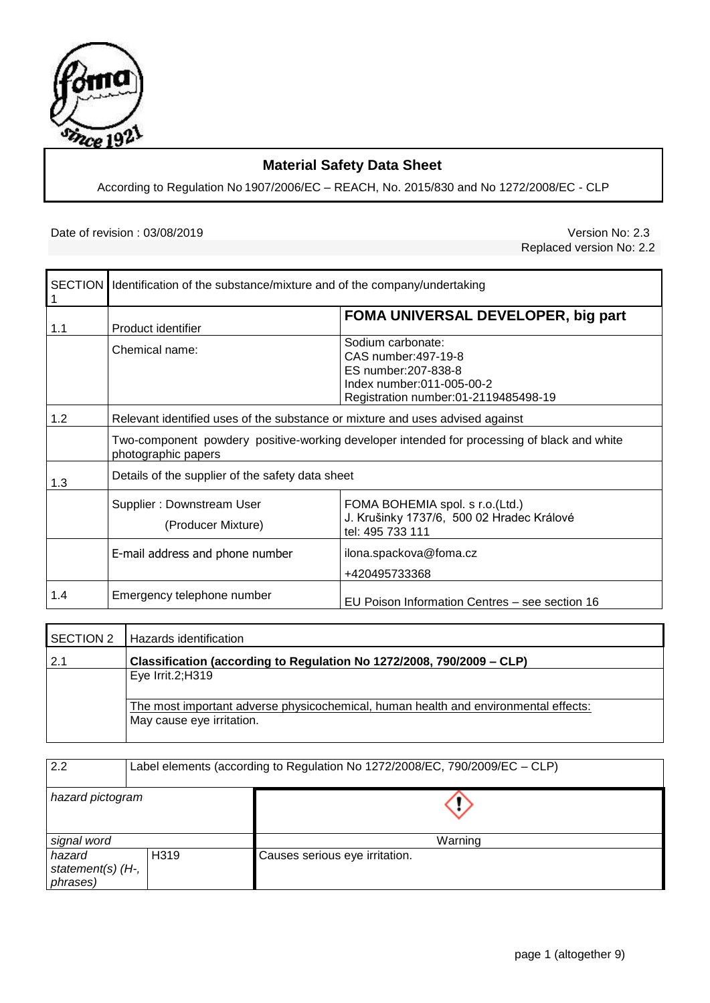

# **Material Safety Data Sheet**

According to Regulation No 1907/2006/EC – REACH, No. 2015/830 and No 1272/2008/EC - CLP

#### Date of revision : 03/08/2019 <br>
Version No: 2.3

Replaced version No: 2.2

| 1   | SECTION   Identification of the substance/mixture and of the company/undertaking                                   |                                                                                                                                        |  |
|-----|--------------------------------------------------------------------------------------------------------------------|----------------------------------------------------------------------------------------------------------------------------------------|--|
| 1.1 | Product identifier                                                                                                 | FOMA UNIVERSAL DEVELOPER, big part                                                                                                     |  |
|     | Chemical name:                                                                                                     | Sodium carbonate:<br>CAS number: 497-19-8<br>ES number: 207-838-8<br>Index number:011-005-00-2<br>Registration number:01-2119485498-19 |  |
| 1.2 | Relevant identified uses of the substance or mixture and uses advised against                                      |                                                                                                                                        |  |
|     | Two-component powdery positive-working developer intended for processing of black and white<br>photographic papers |                                                                                                                                        |  |
| 1.3 | Details of the supplier of the safety data sheet                                                                   |                                                                                                                                        |  |
|     | Supplier: Downstream User<br>(Producer Mixture)                                                                    | FOMA BOHEMIA spol. s r.o.(Ltd.)<br>J. Krušinky 1737/6, 500 02 Hradec Králové<br>tel: 495 733 111                                       |  |
|     | E-mail address and phone number                                                                                    | ilona.spackova@foma.cz<br>+420495733368                                                                                                |  |
| 1.4 | Emergency telephone number                                                                                         | EU Poison Information Centres – see section 16                                                                                         |  |

| <b>SECTION 2</b> | Hazards identification                                                                                           |
|------------------|------------------------------------------------------------------------------------------------------------------|
| 2.1              | Classification (according to Regulation No 1272/2008, 790/2009 – CLP)                                            |
|                  | Eye Irrit. $2;H319$                                                                                              |
|                  | The most important adverse physicochemical, human health and environmental effects:<br>May cause eye irritation. |

| 2.2                                     | Label elements (according to Regulation No 1272/2008/EC, 790/2009/EC - CLP) |                                |  |
|-----------------------------------------|-----------------------------------------------------------------------------|--------------------------------|--|
| hazard pictogram                        |                                                                             |                                |  |
| signal word                             |                                                                             | Warning                        |  |
| hazard<br>statement(s) (H-,<br>phrases) | H319                                                                        | Causes serious eye irritation. |  |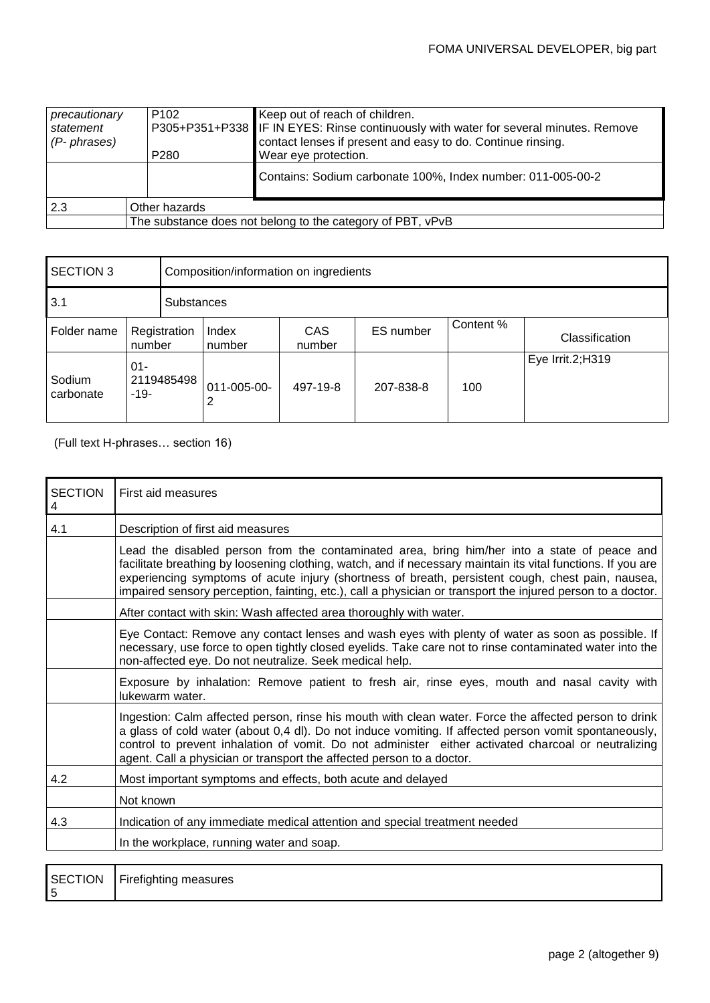| precautionary | P <sub>102</sub>                                           | Keep out of reach of children.                                                       |  |
|---------------|------------------------------------------------------------|--------------------------------------------------------------------------------------|--|
| statement     |                                                            | P305+P351+P338 IF IN EYES: Rinse continuously with water for several minutes. Remove |  |
| (P- phrases)  |                                                            | contact lenses if present and easy to do. Continue rinsing.                          |  |
|               | P <sub>280</sub>                                           | Wear eye protection.                                                                 |  |
|               |                                                            | Contains: Sodium carbonate 100%, Index number: 011-005-00-2                          |  |
| 2.3           | Other hazards                                              |                                                                                      |  |
|               | The substance does not belong to the category of PBT, vPvB |                                                                                      |  |

| <b>SECTION 3</b>                                      |  | Composition/information on ingredients |               |           |           |                  |  |
|-------------------------------------------------------|--|----------------------------------------|---------------|-----------|-----------|------------------|--|
| 3.1                                                   |  |                                        | Substances    |           |           |                  |  |
| Registration<br>Folder name<br>number                 |  | Index<br>number                        | CAS<br>number | ES number | Content % | Classification   |  |
| $01 -$<br>Sodium<br>2119485498<br>carbonate<br>$-19-$ |  | 011-005-00-<br>2                       | 497-19-8      | 207-838-8 | 100       | Eye Irrit.2;H319 |  |

(Full text H-phrases… section 16)

5

| Lead the disabled person from the contaminated area, bring him/her into a state of peace and<br>facilitate breathing by loosening clothing, watch, and if necessary maintain its vital functions. If you are                                                                                                          |
|-----------------------------------------------------------------------------------------------------------------------------------------------------------------------------------------------------------------------------------------------------------------------------------------------------------------------|
|                                                                                                                                                                                                                                                                                                                       |
| experiencing symptoms of acute injury (shortness of breath, persistent cough, chest pain, nausea,<br>impaired sensory perception, fainting, etc.), call a physician or transport the injured person to a doctor.                                                                                                      |
|                                                                                                                                                                                                                                                                                                                       |
| Eye Contact: Remove any contact lenses and wash eyes with plenty of water as soon as possible. If<br>necessary, use force to open tightly closed eyelids. Take care not to rinse contaminated water into the                                                                                                          |
| Exposure by inhalation: Remove patient to fresh air, rinse eyes, mouth and nasal cavity with                                                                                                                                                                                                                          |
| Ingestion: Calm affected person, rinse his mouth with clean water. Force the affected person to drink<br>a glass of cold water (about 0,4 dl). Do not induce vomiting. If affected person vomit spontaneously,<br>control to prevent inhalation of vomit. Do not administer either activated charcoal or neutralizing |
|                                                                                                                                                                                                                                                                                                                       |
|                                                                                                                                                                                                                                                                                                                       |
|                                                                                                                                                                                                                                                                                                                       |
|                                                                                                                                                                                                                                                                                                                       |
|                                                                                                                                                                                                                                                                                                                       |
|                                                                                                                                                                                                                                                                                                                       |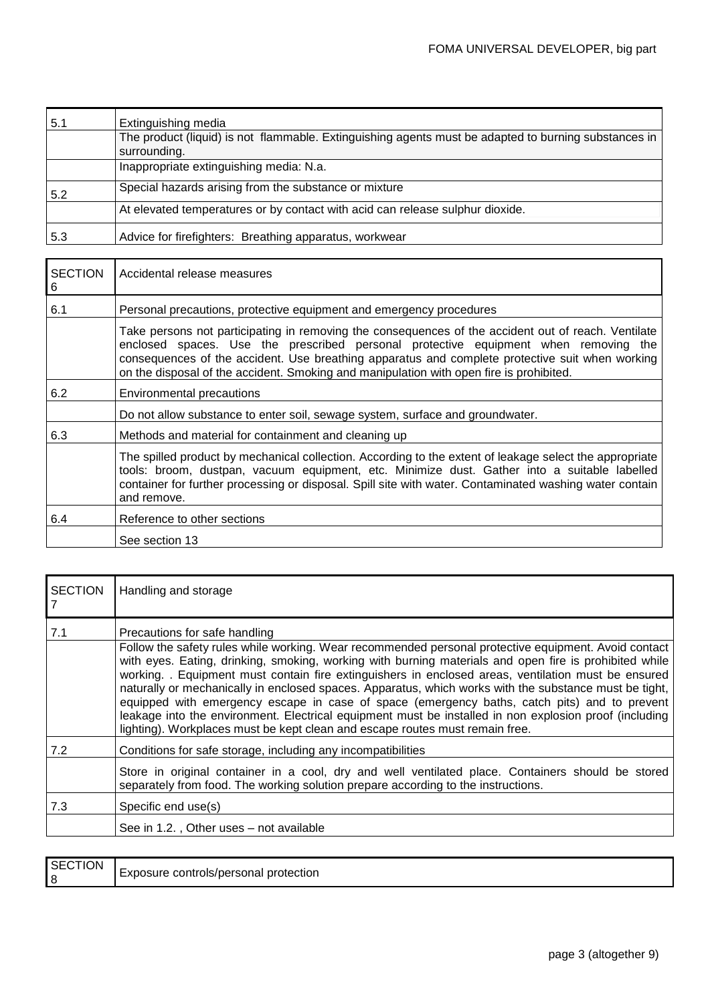| 5.1 | Extinguishing media                                                                                  |
|-----|------------------------------------------------------------------------------------------------------|
|     | The product (liquid) is not flammable. Extinguishing agents must be adapted to burning substances in |
|     | surrounding.                                                                                         |
|     | Inappropriate extinguishing media: N.a.                                                              |
| 5.2 | Special hazards arising from the substance or mixture                                                |
|     | At elevated temperatures or by contact with acid can release sulphur dioxide.                        |
| 5.3 | Advice for firefighters: Breathing apparatus, workwear                                               |

l,

| <b>SECTION</b><br>6 | Accidental release measures                                                                                                                                                                                                                                                                                                                                                              |  |  |
|---------------------|------------------------------------------------------------------------------------------------------------------------------------------------------------------------------------------------------------------------------------------------------------------------------------------------------------------------------------------------------------------------------------------|--|--|
| 6.1                 | Personal precautions, protective equipment and emergency procedures                                                                                                                                                                                                                                                                                                                      |  |  |
|                     | Take persons not participating in removing the consequences of the accident out of reach. Ventilate<br>enclosed spaces. Use the prescribed personal protective equipment when removing the<br>consequences of the accident. Use breathing apparatus and complete protective suit when working<br>on the disposal of the accident. Smoking and manipulation with open fire is prohibited. |  |  |
| 6.2                 | Environmental precautions                                                                                                                                                                                                                                                                                                                                                                |  |  |
|                     | Do not allow substance to enter soil, sewage system, surface and groundwater.                                                                                                                                                                                                                                                                                                            |  |  |
| 6.3                 | Methods and material for containment and cleaning up                                                                                                                                                                                                                                                                                                                                     |  |  |
|                     | The spilled product by mechanical collection. According to the extent of leakage select the appropriate<br>tools: broom, dustpan, vacuum equipment, etc. Minimize dust. Gather into a suitable labelled<br>container for further processing or disposal. Spill site with water. Contaminated washing water contain<br>and remove.                                                        |  |  |
| 6.4                 | Reference to other sections                                                                                                                                                                                                                                                                                                                                                              |  |  |
|                     | See section 13                                                                                                                                                                                                                                                                                                                                                                           |  |  |

| <b>SECTION</b> | Handling and storage                                                                                                                                                                                                                                                                                                                                                                                                                                                                                                                                                                                              |
|----------------|-------------------------------------------------------------------------------------------------------------------------------------------------------------------------------------------------------------------------------------------------------------------------------------------------------------------------------------------------------------------------------------------------------------------------------------------------------------------------------------------------------------------------------------------------------------------------------------------------------------------|
| 7.1            | Precautions for safe handling<br>Follow the safety rules while working. Wear recommended personal protective equipment. Avoid contact                                                                                                                                                                                                                                                                                                                                                                                                                                                                             |
|                | with eyes. Eating, drinking, smoking, working with burning materials and open fire is prohibited while<br>working. . Equipment must contain fire extinguishers in enclosed areas, ventilation must be ensured<br>naturally or mechanically in enclosed spaces. Apparatus, which works with the substance must be tight,<br>equipped with emergency escape in case of space (emergency baths, catch pits) and to prevent<br>leakage into the environment. Electrical equipment must be installed in non explosion proof (including<br>lighting). Workplaces must be kept clean and escape routes must remain free. |
| 7.2            | Conditions for safe storage, including any incompatibilities                                                                                                                                                                                                                                                                                                                                                                                                                                                                                                                                                      |
|                | Store in original container in a cool, dry and well ventilated place. Containers should be stored<br>separately from food. The working solution prepare according to the instructions.                                                                                                                                                                                                                                                                                                                                                                                                                            |
| 7.3            | Specific end use(s)                                                                                                                                                                                                                                                                                                                                                                                                                                                                                                                                                                                               |
|                | See in 1.2., Other uses – not available                                                                                                                                                                                                                                                                                                                                                                                                                                                                                                                                                                           |

| SECTION | Exposure controls/personal protection |
|---------|---------------------------------------|
|---------|---------------------------------------|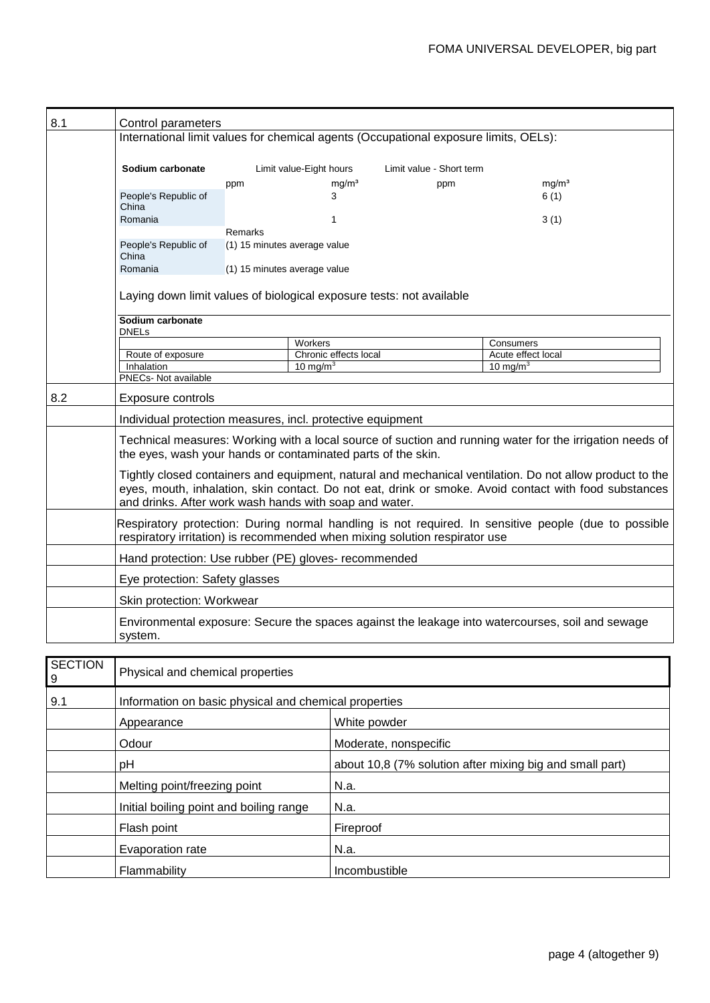| 8.1            | Control parameters                                                                                                                                                                                                                                                                                                                                                                                                                                                                                                                                                                                                                                                                                          |         |                                      |                          |                                   |
|----------------|-------------------------------------------------------------------------------------------------------------------------------------------------------------------------------------------------------------------------------------------------------------------------------------------------------------------------------------------------------------------------------------------------------------------------------------------------------------------------------------------------------------------------------------------------------------------------------------------------------------------------------------------------------------------------------------------------------------|---------|--------------------------------------|--------------------------|-----------------------------------|
|                | International limit values for chemical agents (Occupational exposure limits, OELs):                                                                                                                                                                                                                                                                                                                                                                                                                                                                                                                                                                                                                        |         |                                      |                          |                                   |
|                | Sodium carbonate                                                                                                                                                                                                                                                                                                                                                                                                                                                                                                                                                                                                                                                                                            |         | Limit value-Eight hours              | Limit value - Short term |                                   |
|                |                                                                                                                                                                                                                                                                                                                                                                                                                                                                                                                                                                                                                                                                                                             | ppm     | mg/m <sup>3</sup>                    | ppm                      | mq/m <sup>3</sup>                 |
|                | People's Republic of<br>China                                                                                                                                                                                                                                                                                                                                                                                                                                                                                                                                                                                                                                                                               |         | 3                                    |                          | 6(1)                              |
|                | Romania                                                                                                                                                                                                                                                                                                                                                                                                                                                                                                                                                                                                                                                                                                     |         | $\mathbf{1}$                         |                          | 3(1)                              |
|                |                                                                                                                                                                                                                                                                                                                                                                                                                                                                                                                                                                                                                                                                                                             | Remarks |                                      |                          |                                   |
|                | People's Republic of<br>China                                                                                                                                                                                                                                                                                                                                                                                                                                                                                                                                                                                                                                                                               |         | (1) 15 minutes average value         |                          |                                   |
|                | Romania                                                                                                                                                                                                                                                                                                                                                                                                                                                                                                                                                                                                                                                                                                     |         | (1) 15 minutes average value         |                          |                                   |
|                | Laying down limit values of biological exposure tests: not available                                                                                                                                                                                                                                                                                                                                                                                                                                                                                                                                                                                                                                        |         |                                      |                          |                                   |
|                | Sodium carbonate<br><b>DNELs</b>                                                                                                                                                                                                                                                                                                                                                                                                                                                                                                                                                                                                                                                                            |         |                                      |                          |                                   |
|                |                                                                                                                                                                                                                                                                                                                                                                                                                                                                                                                                                                                                                                                                                                             |         | Workers                              |                          | Consumers                         |
|                | Route of exposure<br>Inhalation                                                                                                                                                                                                                                                                                                                                                                                                                                                                                                                                                                                                                                                                             |         | Chronic effects local<br>10 mg/m $3$ |                          | Acute effect local<br>10 mg/m $3$ |
|                | PNECs- Not available                                                                                                                                                                                                                                                                                                                                                                                                                                                                                                                                                                                                                                                                                        |         |                                      |                          |                                   |
| 8.2            | Exposure controls                                                                                                                                                                                                                                                                                                                                                                                                                                                                                                                                                                                                                                                                                           |         |                                      |                          |                                   |
|                | Individual protection measures, incl. protective equipment<br>Technical measures: Working with a local source of suction and running water for the irrigation needs of<br>the eyes, wash your hands or contaminated parts of the skin.<br>Tightly closed containers and equipment, natural and mechanical ventilation. Do not allow product to the<br>eyes, mouth, inhalation, skin contact. Do not eat, drink or smoke. Avoid contact with food substances<br>and drinks. After work wash hands with soap and water.<br>Respiratory protection: During normal handling is not required. In sensitive people (due to possible<br>respiratory irritation) is recommended when mixing solution respirator use |         |                                      |                          |                                   |
|                |                                                                                                                                                                                                                                                                                                                                                                                                                                                                                                                                                                                                                                                                                                             |         |                                      |                          |                                   |
|                |                                                                                                                                                                                                                                                                                                                                                                                                                                                                                                                                                                                                                                                                                                             |         |                                      |                          |                                   |
|                |                                                                                                                                                                                                                                                                                                                                                                                                                                                                                                                                                                                                                                                                                                             |         |                                      |                          |                                   |
|                | Hand protection: Use rubber (PE) gloves- recommended                                                                                                                                                                                                                                                                                                                                                                                                                                                                                                                                                                                                                                                        |         |                                      |                          |                                   |
|                | Eye protection: Safety glasses                                                                                                                                                                                                                                                                                                                                                                                                                                                                                                                                                                                                                                                                              |         |                                      |                          |                                   |
|                | Skin protection: Workwear                                                                                                                                                                                                                                                                                                                                                                                                                                                                                                                                                                                                                                                                                   |         |                                      |                          |                                   |
|                | Environmental exposure: Secure the spaces against the leakage into watercourses, soil and sewage<br>system.                                                                                                                                                                                                                                                                                                                                                                                                                                                                                                                                                                                                 |         |                                      |                          |                                   |
|                |                                                                                                                                                                                                                                                                                                                                                                                                                                                                                                                                                                                                                                                                                                             |         |                                      |                          |                                   |
| <b>SECTION</b> | Dhuaisal and chamisal proportion                                                                                                                                                                                                                                                                                                                                                                                                                                                                                                                                                                                                                                                                            |         |                                      |                          |                                   |

| <b>ULUTUN</b><br>9 | Physical and chemical properties                               |               |  |
|--------------------|----------------------------------------------------------------|---------------|--|
| 9.1                | Information on basic physical and chemical properties          |               |  |
|                    | White powder<br>Appearance                                     |               |  |
|                    | Odour<br>Moderate, nonspecific                                 |               |  |
|                    | about 10,8 (7% solution after mixing big and small part)<br>рH |               |  |
|                    | Melting point/freezing point                                   | N.a.          |  |
|                    | Initial boiling point and boiling range                        | N.a.          |  |
|                    | Flash point                                                    | Fireproof     |  |
|                    | Evaporation rate                                               | N.a.          |  |
|                    | Flammability                                                   | Incombustible |  |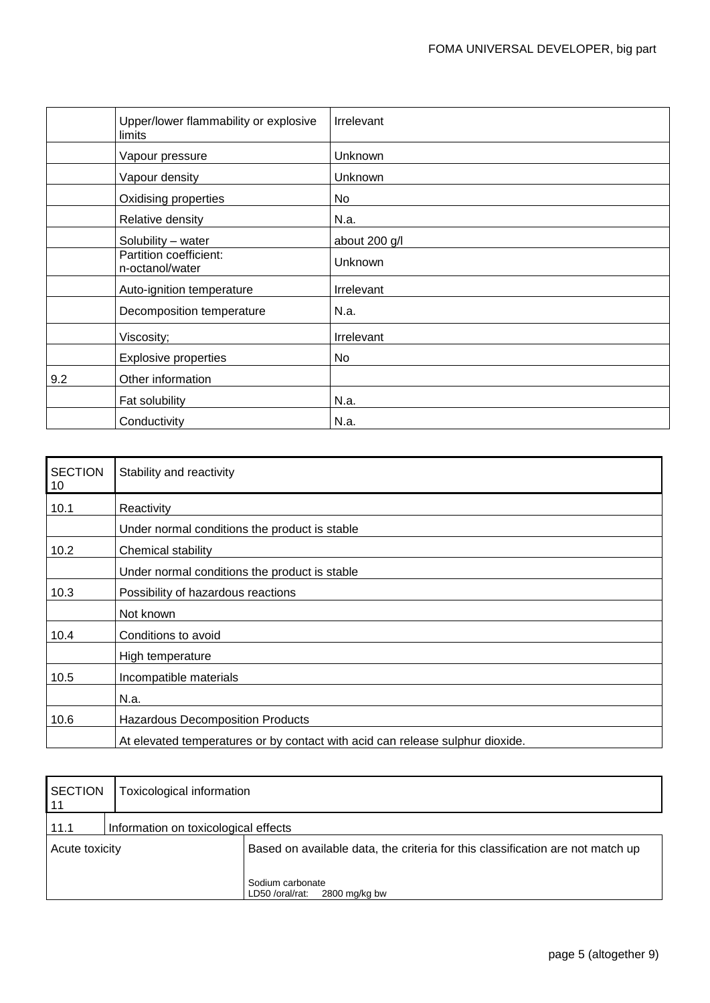|     | Upper/lower flammability or explosive<br>limits | Irrelevant    |
|-----|-------------------------------------------------|---------------|
|     | Vapour pressure                                 | Unknown       |
|     | Vapour density                                  | Unknown       |
|     | Oxidising properties                            | No            |
|     | Relative density                                | N.a.          |
|     | Solubility - water                              | about 200 g/l |
|     | Partition coefficient:<br>n-octanol/water       | Unknown       |
|     | Auto-ignition temperature                       | Irrelevant    |
|     | Decomposition temperature                       | N.a.          |
|     | Viscosity;                                      | Irrelevant    |
|     | <b>Explosive properties</b>                     | No            |
| 9.2 | Other information                               |               |
|     | Fat solubility                                  | N.a.          |
|     | Conductivity                                    | N.a.          |

| <b>SECTION</b><br>10 | Stability and reactivity                                                      |
|----------------------|-------------------------------------------------------------------------------|
| 10.1                 | Reactivity                                                                    |
|                      | Under normal conditions the product is stable                                 |
| 10.2                 | Chemical stability                                                            |
|                      | Under normal conditions the product is stable                                 |
| 10.3                 | Possibility of hazardous reactions                                            |
|                      | Not known                                                                     |
| 10.4                 | Conditions to avoid                                                           |
|                      | High temperature                                                              |
| 10.5                 | Incompatible materials                                                        |
|                      | N.a.                                                                          |
| 10.6                 | <b>Hazardous Decomposition Products</b>                                       |
|                      | At elevated temperatures or by contact with acid can release sulphur dioxide. |

| <b>SECTION</b><br>11 | Toxicological information            |                                                                                |
|----------------------|--------------------------------------|--------------------------------------------------------------------------------|
| 11.1                 | Information on toxicological effects |                                                                                |
| Acute toxicity       |                                      | Based on available data, the criteria for this classification are not match up |
|                      |                                      | Sodium carbonate<br>2800 mg/kg bw<br>LD50 /oral/rat:                           |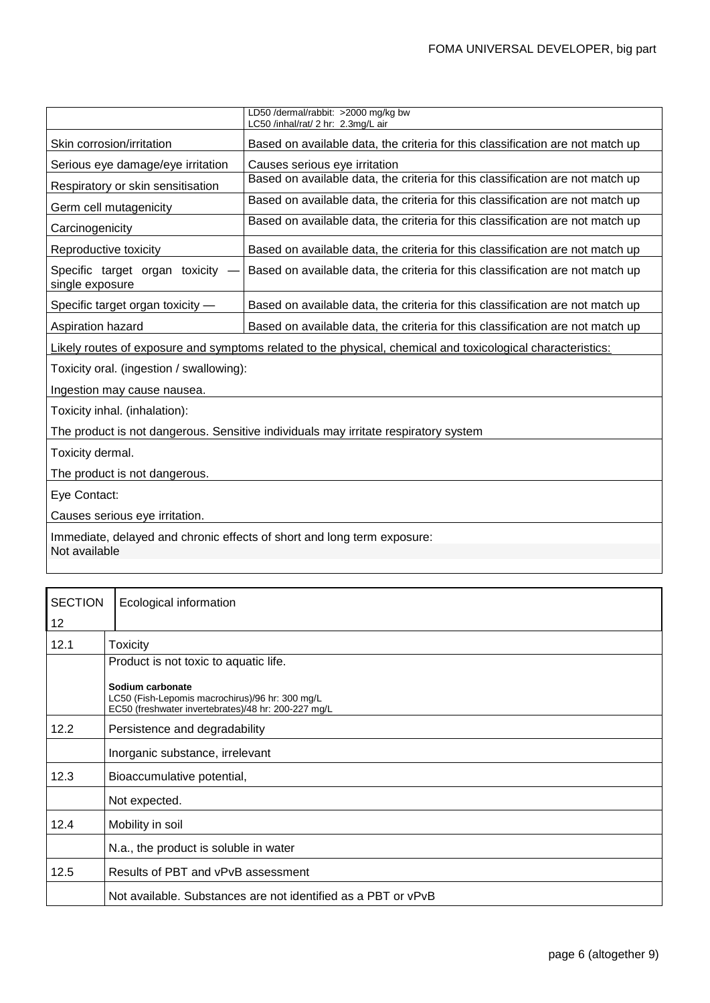|                                                                                          | LD50 /dermal/rabbit: >2000 mg/kg bw<br>LC50 /inhal/rat/ 2 hr: 2.3mg/L air                                   |  |
|------------------------------------------------------------------------------------------|-------------------------------------------------------------------------------------------------------------|--|
| Skin corrosion/irritation                                                                | Based on available data, the criteria for this classification are not match up                              |  |
| Serious eye damage/eye irritation                                                        | Causes serious eye irritation                                                                               |  |
| Respiratory or skin sensitisation                                                        | Based on available data, the criteria for this classification are not match up                              |  |
| Germ cell mutagenicity                                                                   | Based on available data, the criteria for this classification are not match up                              |  |
| Carcinogenicity                                                                          | Based on available data, the criteria for this classification are not match up                              |  |
| Reproductive toxicity                                                                    | Based on available data, the criteria for this classification are not match up                              |  |
| Specific target organ toxicity<br>single exposure                                        | Based on available data, the criteria for this classification are not match up                              |  |
| Specific target organ toxicity -                                                         | Based on available data, the criteria for this classification are not match up                              |  |
| Aspiration hazard                                                                        | Based on available data, the criteria for this classification are not match up                              |  |
|                                                                                          | Likely routes of exposure and symptoms related to the physical, chemical and toxicological characteristics: |  |
| Toxicity oral. (ingestion / swallowing):                                                 |                                                                                                             |  |
| Ingestion may cause nausea.                                                              |                                                                                                             |  |
| Toxicity inhal. (inhalation):                                                            |                                                                                                             |  |
|                                                                                          | The product is not dangerous. Sensitive individuals may irritate respiratory system                         |  |
| Toxicity dermal.                                                                         |                                                                                                             |  |
| The product is not dangerous.                                                            |                                                                                                             |  |
| Eye Contact:                                                                             |                                                                                                             |  |
| Causes serious eye irritation.                                                           |                                                                                                             |  |
| Immediate, delayed and chronic effects of short and long term exposure:<br>Not available |                                                                                                             |  |

| <b>SECTION</b> | Ecological information                                                                                                     |
|----------------|----------------------------------------------------------------------------------------------------------------------------|
| 12             |                                                                                                                            |
| 12.1           | <b>Toxicity</b>                                                                                                            |
|                | Product is not toxic to aquatic life.                                                                                      |
|                | Sodium carbonate<br>LC50 (Fish-Lepomis macrochirus)/96 hr: 300 mg/L<br>EC50 (freshwater invertebrates)/48 hr: 200-227 mg/L |
| 12.2           | Persistence and degradability                                                                                              |
|                | Inorganic substance, irrelevant                                                                                            |
| 12.3           | Bioaccumulative potential,                                                                                                 |
|                | Not expected.                                                                                                              |
| 12.4           | Mobility in soil                                                                                                           |
|                | N.a., the product is soluble in water                                                                                      |
| 12.5           | Results of PBT and vPvB assessment                                                                                         |
|                | Not available. Substances are not identified as a PBT or vPvB                                                              |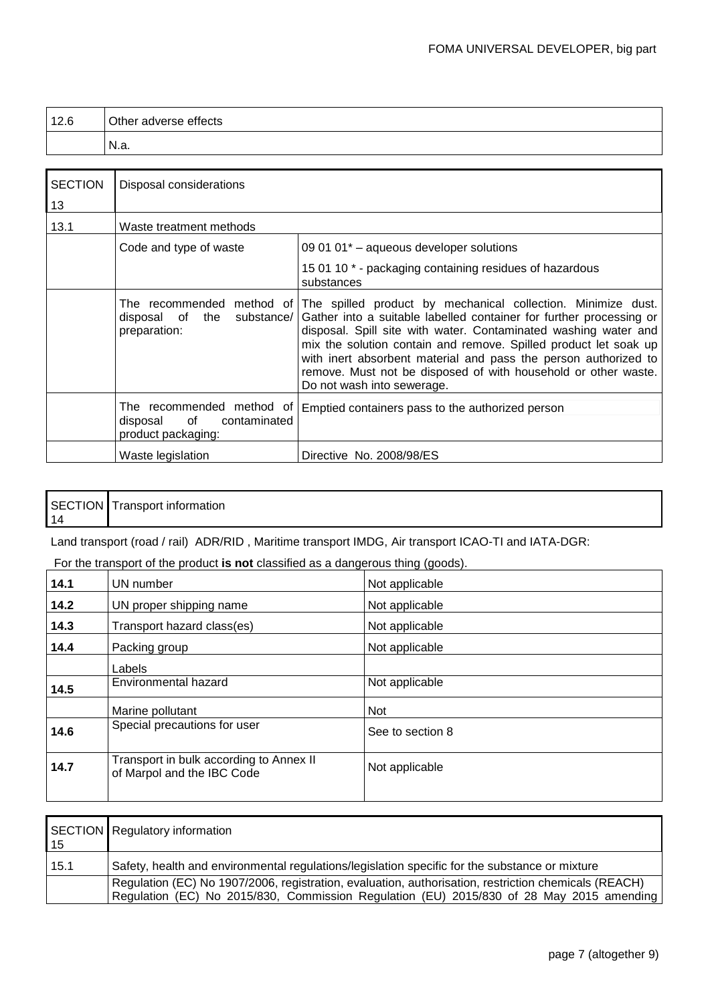| 12.6 | Other adverse effects |
|------|-----------------------|
|      | -N.a.                 |

| <b>SECTION</b><br>13 | Disposal considerations                                                           |                                                                                                                                                                                                                                                                                                                                                                                                                                               |
|----------------------|-----------------------------------------------------------------------------------|-----------------------------------------------------------------------------------------------------------------------------------------------------------------------------------------------------------------------------------------------------------------------------------------------------------------------------------------------------------------------------------------------------------------------------------------------|
| 13.1                 | Waste treatment methods                                                           |                                                                                                                                                                                                                                                                                                                                                                                                                                               |
|                      | Code and type of waste                                                            | 09 01 01 <sup>*</sup> - aqueous developer solutions                                                                                                                                                                                                                                                                                                                                                                                           |
|                      |                                                                                   | 15 01 10 * - packaging containing residues of hazardous<br>substances                                                                                                                                                                                                                                                                                                                                                                         |
|                      | The recommended method of<br>disposal of the<br>substance/<br>preparation:        | The spilled product by mechanical collection. Minimize dust.<br>Gather into a suitable labelled container for further processing or<br>disposal. Spill site with water. Contaminated washing water and<br>mix the solution contain and remove. Spilled product let soak up<br>with inert absorbent material and pass the person authorized to<br>remove. Must not be disposed of with household or other waste.<br>Do not wash into sewerage. |
|                      | The recommended method of<br>of<br>disposal<br>contaminated<br>product packaging: | Emptied containers pass to the authorized person                                                                                                                                                                                                                                                                                                                                                                                              |
|                      | Waste legislation                                                                 | Directive No. 2008/98/ES                                                                                                                                                                                                                                                                                                                                                                                                                      |

#### SECTION Transport information 14

Land transport (road / rail) ADR/RID, Maritime transport IMDG, Air transport ICAO-TI and IATA-DGR:

## For the transport of the product **is not** classified as a dangerous thing (goods).

| 14.1 | UN number                                                             | Not applicable   |
|------|-----------------------------------------------------------------------|------------------|
| 14.2 | UN proper shipping name                                               | Not applicable   |
| 14.3 | Transport hazard class(es)                                            | Not applicable   |
| 14.4 | Packing group                                                         | Not applicable   |
|      | Labels                                                                |                  |
| 14.5 | Environmental hazard                                                  | Not applicable   |
|      | Marine pollutant                                                      | Not              |
| 14.6 | Special precautions for user                                          | See to section 8 |
| 14.7 | Transport in bulk according to Annex II<br>of Marpol and the IBC Code | Not applicable   |
|      |                                                                       |                  |

| 15   | SECTION Regulatory information                                                                                                                                                                   |
|------|--------------------------------------------------------------------------------------------------------------------------------------------------------------------------------------------------|
| 15.1 | Safety, health and environmental regulations/legislation specific for the substance or mixture                                                                                                   |
|      | Regulation (EC) No 1907/2006, registration, evaluation, authorisation, restriction chemicals (REACH)<br>Regulation (EC) No 2015/830, Commission Regulation (EU) 2015/830 of 28 May 2015 amending |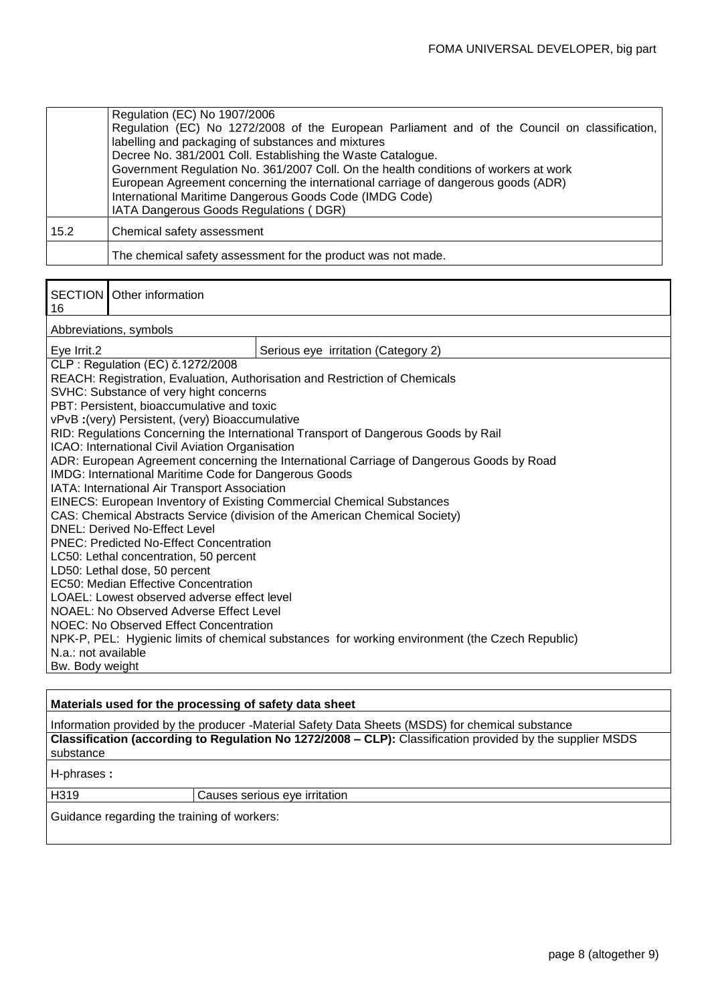|      | Regulation (EC) No 1907/2006<br>Regulation (EC) No 1272/2008 of the European Parliament and of the Council on classification,<br>labelling and packaging of substances and mixtures<br>Decree No. 381/2001 Coll. Establishing the Waste Catalogue.<br>Government Regulation No. 361/2007 Coll. On the health conditions of workers at work<br>European Agreement concerning the international carriage of dangerous goods (ADR)<br>International Maritime Dangerous Goods Code (IMDG Code)<br>IATA Dangerous Goods Regulations (DGR) |
|------|--------------------------------------------------------------------------------------------------------------------------------------------------------------------------------------------------------------------------------------------------------------------------------------------------------------------------------------------------------------------------------------------------------------------------------------------------------------------------------------------------------------------------------------|
| 15.2 | Chemical safety assessment                                                                                                                                                                                                                                                                                                                                                                                                                                                                                                           |
|      | The chemical safety assessment for the product was not made.                                                                                                                                                                                                                                                                                                                                                                                                                                                                         |

| 16                                                                      | <b>SECTION</b> Other information                                            |                                                                                                 |  |
|-------------------------------------------------------------------------|-----------------------------------------------------------------------------|-------------------------------------------------------------------------------------------------|--|
|                                                                         | Abbreviations, symbols                                                      |                                                                                                 |  |
| Eye Irrit.2                                                             |                                                                             | Serious eye irritation (Category 2)                                                             |  |
|                                                                         | CLP: Regulation (EC) č.1272/2008                                            |                                                                                                 |  |
|                                                                         |                                                                             | REACH: Registration, Evaluation, Authorisation and Restriction of Chemicals                     |  |
|                                                                         | SVHC: Substance of very hight concerns                                      |                                                                                                 |  |
|                                                                         | PBT: Persistent, bioaccumulative and toxic                                  |                                                                                                 |  |
|                                                                         | vPvB: (very) Persistent, (very) Bioaccumulative                             |                                                                                                 |  |
|                                                                         |                                                                             | RID: Regulations Concerning the International Transport of Dangerous Goods by Rail              |  |
|                                                                         | ICAO: International Civil Aviation Organisation                             |                                                                                                 |  |
|                                                                         |                                                                             | ADR: European Agreement concerning the International Carriage of Dangerous Goods by Road        |  |
|                                                                         | IMDG: International Maritime Code for Dangerous Goods                       |                                                                                                 |  |
| IATA: International Air Transport Association                           |                                                                             |                                                                                                 |  |
| EINECS: European Inventory of Existing Commercial Chemical Substances   |                                                                             |                                                                                                 |  |
|                                                                         | CAS: Chemical Abstracts Service (division of the American Chemical Society) |                                                                                                 |  |
|                                                                         | <b>DNEL: Derived No-Effect Level</b>                                        |                                                                                                 |  |
|                                                                         | <b>PNEC: Predicted No-Effect Concentration</b>                              |                                                                                                 |  |
| LC50: Lethal concentration, 50 percent<br>LD50: Lethal dose, 50 percent |                                                                             |                                                                                                 |  |
|                                                                         | EC50: Median Effective Concentration                                        |                                                                                                 |  |
|                                                                         | LOAEL: Lowest observed adverse effect level                                 |                                                                                                 |  |
|                                                                         | NOAEL: No Observed Adverse Effect Level                                     |                                                                                                 |  |
|                                                                         | <b>NOEC: No Observed Effect Concentration</b>                               |                                                                                                 |  |
|                                                                         |                                                                             | NPK-P, PEL: Hygienic limits of chemical substances for working environment (the Czech Republic) |  |
| N.a.: not available                                                     |                                                                             |                                                                                                 |  |
| Bw. Body weight                                                         |                                                                             |                                                                                                 |  |
|                                                                         |                                                                             |                                                                                                 |  |

### **Materials used for the processing of safety data sheet**

Information provided by the producer -Material Safety Data Sheets (MSDS) for chemical substance **Classification (according to Regulation No 1272/2008 – CLP):** Classification provided by the supplier MSDS substance

H-phrases **:**

H319 Causes serious eye irritation

Guidance regarding the training of workers: